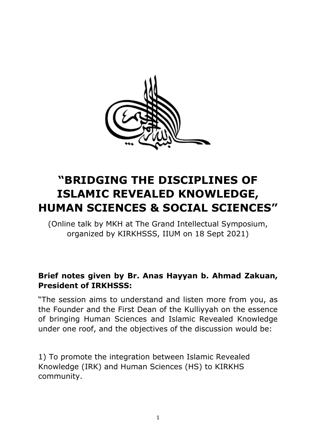

# **"BRIDGING THE DISCIPLINES OF ISLAMIC REVEALED KNOWLEDGE, HUMAN SCIENCES & SOCIAL SCIENCES"**

(Online talk by MKH at The Grand Intellectual Symposium, organized by KIRKHSSS, IIUM on 18 Sept 2021)

#### **Brief notes given by Br. Anas Hayyan b. Ahmad Zakuan, President of IRKHSSS:**

"The session aims to understand and listen more from you, as the Founder and the First Dean of the Kulliyyah on the essence of bringing Human Sciences and Islamic Revealed Knowledge under one roof, and the objectives of the discussion would be:

1) To promote the integration between Islamic Revealed Knowledge (IRK) and Human Sciences (HS) to KIRKHS community.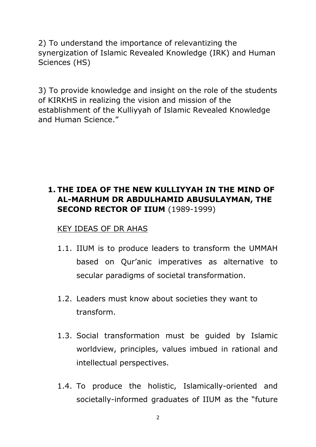2) To understand the importance of relevantizing the synergization of Islamic Revealed Knowledge (IRK) and Human Sciences (HS)

3) To provide knowledge and insight on the role of the students of KIRKHS in realizing the vision and mission of the establishment of the Kulliyyah of Islamic Revealed Knowledge and Human Science."

### **1. THE IDEA OF THE NEW KULLIYYAH IN THE MIND OF AL-MARHUM DR ABDULHAMID ABUSULAYMAN, THE SECOND RECTOR OF IIUM** (1989-1999)

#### KEY IDEAS OF DR AHAS

- 1.1. IIUM is to produce leaders to transform the UMMAH based on Qur'anic imperatives as alternative to secular paradigms of societal transformation.
- 1.2. Leaders must know about societies they want to transform.
- 1.3. Social transformation must be guided by Islamic worldview, principles, values imbued in rational and intellectual perspectives.
- 1.4. To produce the holistic, Islamically-oriented and societally-informed graduates of IIUM as the "future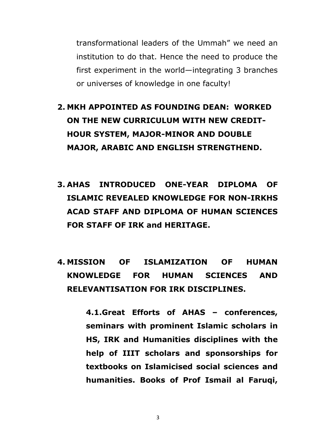transformational leaders of the Ummah" we need an institution to do that. Hence the need to produce the first experiment in the world—integrating 3 branches or universes of knowledge in one faculty!

- **2. MKH APPOINTED AS FOUNDING DEAN: WORKED ON THE NEW CURRICULUM WITH NEW CREDIT-HOUR SYSTEM, MAJOR-MINOR AND DOUBLE MAJOR, ARABIC AND ENGLISH STRENGTHEND.**
- **3. AHAS INTRODUCED ONE-YEAR DIPLOMA OF ISLAMIC REVEALED KNOWLEDGE FOR NON-IRKHS ACAD STAFF AND DIPLOMA OF HUMAN SCIENCES FOR STAFF OF IRK and HERITAGE.**
- **4. MISSION OF ISLAMIZATION OF HUMAN KNOWLEDGE FOR HUMAN SCIENCES AND RELEVANTISATION FOR IRK DISCIPLINES.**

**4.1.Great Efforts of AHAS – conferences, seminars with prominent Islamic scholars in HS, IRK and Humanities disciplines with the help of IIIT scholars and sponsorships for textbooks on Islamicised social sciences and humanities. Books of Prof Ismail al Faruqi,**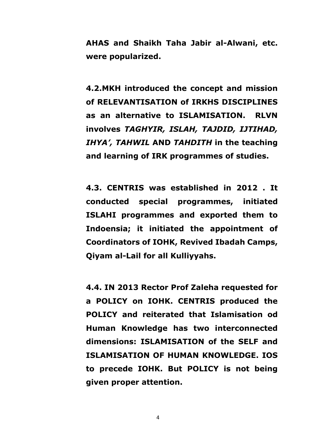**AHAS and Shaikh Taha Jabir al-Alwani, etc. were popularized.**

**4.2.MKH introduced the concept and mission of RELEVANTISATION of IRKHS DISCIPLINES as an alternative to ISLAMISATION. RLVN involves** *TAGHYIR, ISLAH, TAJDID, IJTIHAD, IHYA', TAHWIL* **AND** *TAHDITH* **in the teaching and learning of IRK programmes of studies.**

**4.3. CENTRIS was established in 2012 . It conducted special programmes, initiated ISLAHI programmes and exported them to Indoensia; it initiated the appointment of Coordinators of IOHK, Revived Ibadah Camps, Qiyam al-Lail for all Kulliyyahs.**

**4.4. IN 2013 Rector Prof Zaleha requested for a POLICY on IOHK. CENTRIS produced the POLICY and reiterated that Islamisation od Human Knowledge has two interconnected dimensions: ISLAMISATION of the SELF and ISLAMISATION OF HUMAN KNOWLEDGE. IOS to precede IOHK. But POLICY is not being given proper attention.**

4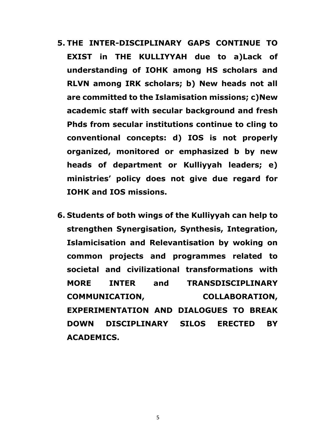- **5. THE INTER-DISCIPLINARY GAPS CONTINUE TO EXIST in THE KULLIYYAH due to a)Lack of understanding of IOHK among HS scholars and RLVN among IRK scholars; b) New heads not all are committed to the Islamisation missions; c)New academic staff with secular background and fresh Phds from secular institutions continue to cling to conventional concepts: d) IOS is not properly organized, monitored or emphasized b by new heads of department or Kulliyyah leaders; e) ministries' policy does not give due regard for IOHK and IOS missions.**
- **6. Students of both wings of the Kulliyyah can help to strengthen Synergisation, Synthesis, Integration, Islamicisation and Relevantisation by woking on common projects and programmes related to societal and civilizational transformations with MORE INTER and TRANSDISCIPLINARY COMMUNICATION, COLLABORATION, EXPERIMENTATION AND DIALOGUES TO BREAK DOWN DISCIPLINARY SILOS ERECTED BY ACADEMICS.**

5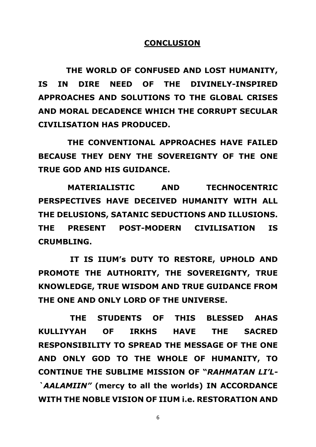#### **CONCLUSION**

 **THE WORLD OF CONFUSED AND LOST HUMANITY, IS IN DIRE NEED OF THE DIVINELY-INSPIRED APPROACHES AND SOLUTIONS TO THE GLOBAL CRISES AND MORAL DECADENCE WHICH THE CORRUPT SECULAR CIVILISATION HAS PRODUCED.**

 **THE CONVENTIONAL APPROACHES HAVE FAILED BECAUSE THEY DENY THE SOVEREIGNTY OF THE ONE TRUE GOD AND HIS GUIDANCE.** 

 **MATERIALISTIC AND TECHNOCENTRIC PERSPECTIVES HAVE DECEIVED HUMANITY WITH ALL THE DELUSIONS, SATANIC SEDUCTIONS AND ILLUSIONS. THE PRESENT POST-MODERN CIVILISATION IS CRUMBLING.** 

 **IT IS IIUM's DUTY TO RESTORE, UPHOLD AND PROMOTE THE AUTHORITY, THE SOVEREIGNTY, TRUE KNOWLEDGE, TRUE WISDOM AND TRUE GUIDANCE FROM THE ONE AND ONLY LORD OF THE UNIVERSE.**

 **THE STUDENTS OF THIS BLESSED AHAS KULLIYYAH OF IRKHS HAVE THE SACRED RESPONSIBILITY TO SPREAD THE MESSAGE OF THE ONE AND ONLY GOD TO THE WHOLE OF HUMANITY, TO CONTINUE THE SUBLIME MISSION OF "***RAHMATAN LI'L- `AALAMIIN"* **(mercy to all the worlds) IN ACCORDANCE WITH THE NOBLE VISION OF IIUM i.e. RESTORATION AND** 

6